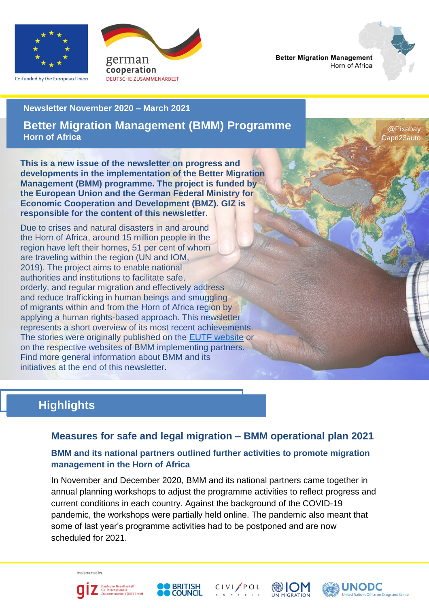

Co-funded by the European Union



**Better Migration Management** Horn of Africa

#### **Newsletter November 2020 – March 2021**

**Better Migration Management (BMM) Programme Horn of Africa**

@Pixabay Capri23auto

**This is a new issue of the newsletter on progress and developments in the implementation of the Better Migration Management (BMM) programme. The project is funded by the European Union and the German Federal Ministry for Economic Cooperation and Development (BMZ). GIZ is responsible for the content of this newsletter.**

Due to crises and natural disasters in and around the Horn of Africa, around 15 million people in the region have left their homes, 51 per cent of whom are traveling within the region (UN and IOM, 2019). The project aims to enable national authorities and institutions to facilitate safe, orderly, and regular migration and effectively address and reduce trafficking in human beings and smuggling of migrants within and from the Horn of Africa region by applying a human rights-based approach. This newsletter represents a short overview of its most recent achievements. The stories were originally published on the [EUTF website](https://ec.europa.eu/trustfundforafrica/region/horn-africa/regional/better-migration-management-programme-phase-ii_en) or on the respective websites of BMM implementing partners. Find more general information about BMM and its initiatives at the end of this newsletter.

# **Highlights**

# **Measures for safe and legal migration – BMM operational plan 2021**

### **BMM and its national partners outlined further activities to promote migration management in the Horn of Africa**

In November and December 2020, BMM and its national partners came together in annual planning workshops to adjust the programme activities to reflect progress and current conditions in each country. Against the background of the COVID-19 pandemic, the workshops were partially held online. The pandemic also meant that some of last year's programme activities had to be postponed and are now scheduled for 2021.

Implemented by









![](_page_0_Picture_18.jpeg)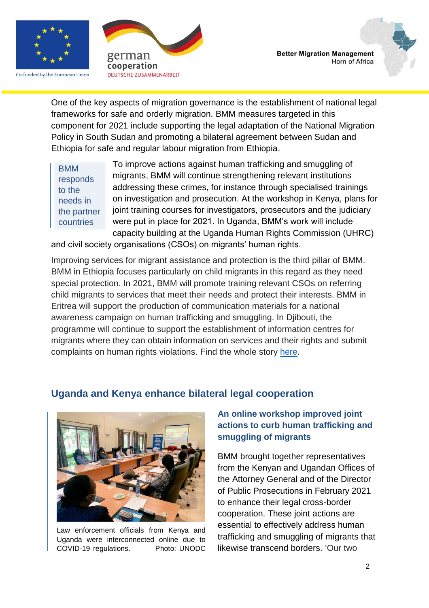![](_page_1_Picture_0.jpeg)

Co-funded by the European Union

![](_page_1_Picture_2.jpeg)

![](_page_1_Picture_3.jpeg)

One of the key aspects of migration governance is the establishment of national legal frameworks for safe and orderly migration. BMM measures targeted in this component for 2021 include supporting the legal adaptation of the National Migration Policy in South Sudan and promoting a bilateral agreement between Sudan and Ethiopia for safe and regular labour migration from Ethiopia.

To improve actions against human trafficking and smuggling of migrants, BMM will continue strengthening relevant institutions addressing these crimes, for instance through specialised trainings on investigation and prosecution. At the workshop in Kenya, plans for joint training courses for investigators, prosecutors and the judiciary were put in place for 2021. In Uganda, BMM's work will include capacity building at the Uganda Human Rights Commission (UHRC) BMM responds to the needs in the partner countries

and civil society organisations (CSOs) on migrants' human rights.

Improving services for migrant assistance and protection is the third pillar of BMM. BMM in Ethiopia focuses particularly on child migrants in this regard as they need special protection. In 2021, BMM will promote training relevant CSOs on referring child migrants to services that meet their needs and protect their interests. BMM in Eritrea will support the production of communication materials for a national awareness campaign on human trafficking and smuggling. In Djibouti, the programme will continue to support the establishment of information centres for migrants where they can obtain information on services and their rights and submit complaints on human rights violations. Find the whole story [here.](https://ec.europa.eu/trustfundforafrica/all-news-and-stories/plans-place-bmm-and-partners-discuss-measures-safe-and-legal-migration-2021_en)

### **Uganda and Kenya enhance bilateral legal cooperation**

![](_page_1_Picture_9.jpeg)

Law enforcement officials from Kenya and Uganda were interconnected online due to COVID-19 regulations. Photo: UNODC

### **An online workshop improved joint actions to curb human trafficking and smuggling of migrants**

BMM brought together representatives from the Kenyan and Ugandan Offices of the Attorney General and of the Director of Public Prosecutions in February 2021 to enhance their legal cross-border cooperation. These joint actions are essential to effectively address human trafficking and smuggling of migrants that likewise transcend borders. 'Our two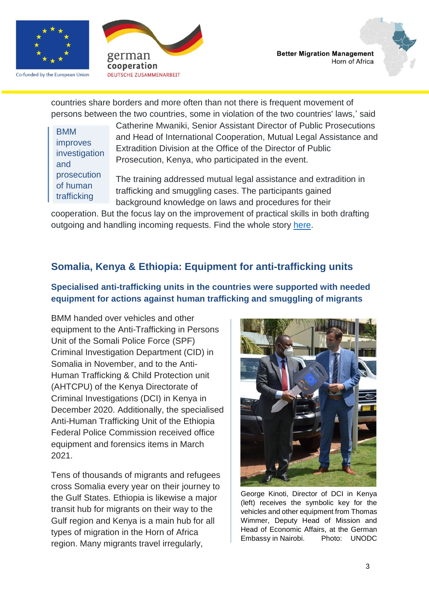![](_page_2_Picture_0.jpeg)

Co-funded by the European Union

![](_page_2_Picture_2.jpeg)

countries share borders and more often than not there is frequent movement of persons between the two countries, some in violation of the two countries' laws,' said

BMM improves investigation and prosecution of human trafficking

Catherine Mwaniki, Senior Assistant Director of Public Prosecutions and Head of International Cooperation, Mutual Legal Assistance and Extradition Division at the Office of the Director of Public Prosecution, Kenya, who participated in the event.

The training addressed mutual legal assistance and extradition in trafficking and smuggling cases. The participants gained background knowledge on laws and procedures for their

cooperation. But the focus lay on the improvement of practical skills in both drafting outgoing and handling incoming requests. Find the whole story [here.](https://www.unodc.org/unodc/en/human-trafficking/Webstories2021/kenya-and-uganda-work-webstory.html)

# **Somalia, Kenya & Ethiopia: Equipment for anti-trafficking units**

#### **Specialised anti-trafficking units in the countries were supported with needed equipment for actions against human trafficking and smuggling of migrants**

BMM handed over vehicles and other equipment to the Anti-Trafficking in Persons Unit of the Somali Police Force (SPF) Criminal Investigation Department (CID) in Somalia in November, and to the Anti-Human Trafficking & Child Protection unit (AHTCPU) of the Kenya Directorate of Criminal Investigations (DCI) in Kenya in December 2020. Additionally, the specialised Anti-Human Trafficking Unit of the Ethiopia Federal Police Commission received office equipment and forensics items in March 2021.

Tens of thousands of migrants and refugees cross Somalia every year on their journey to the Gulf States. Ethiopia is likewise a major transit hub for migrants on their way to the Gulf region and Kenya is a main hub for all types of migration in the Horn of Africa region. Many migrants travel irregularly,

![](_page_2_Picture_13.jpeg)

George Kinoti, Director of DCI in Kenya (left) receives the symbolic key for the vehicles and other equipment from Thomas Wimmer, Deputy Head of Mission and Head of Economic Affairs, at the German Embassy in Nairobi. Photo: UNODC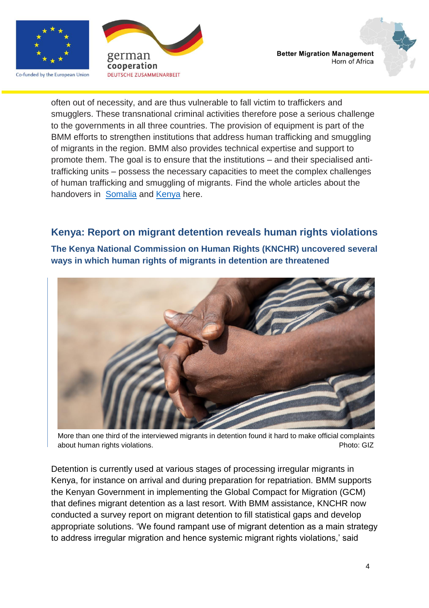![](_page_3_Picture_0.jpeg)

Co-funded by the European Union

![](_page_3_Picture_2.jpeg)

![](_page_3_Picture_3.jpeg)

often out of necessity, and are thus vulnerable to fall victim to traffickers and smugglers. These transnational criminal activities therefore pose a serious challenge to the governments in all three countries. The provision of equipment is part of the BMM efforts to strengthen institutions that address human trafficking and smuggling of migrants in the region. BMM also provides technical expertise and support to promote them. The goal is to ensure that the institutions – and their specialised antitrafficking units – possess the necessary capacities to meet the complex challenges of human trafficking and smuggling of migrants. Find the whole articles about the handovers in [Somalia](https://www.unodc.org/easternafrica/en/Stories/bmm-hand-over-ceremony-som.html) and [Kenya](https://www.unodc.org/easternafrica/en/Stories/kenya-directorate-of-criminal-investigations-receives-equipment-to-counter-trafficking-in-persons-and-smuggling-of-migrants.html) here.

### **Kenya: Report on migrant detention reveals human rights violations**

**The Kenya National Commission on Human Rights (KNCHR) uncovered several ways in which human rights of migrants in detention are threatened**

![](_page_3_Picture_7.jpeg)

More than one third of the interviewed migrants in detention found it hard to make official complaints about human rights violations. The contraction of the contraction of the contraction of the contraction of the contraction of the contraction of the contraction of the contraction of the contraction of the contraction of t

Detention is currently used at various stages of processing irregular migrants in Kenya, for instance on arrival and during preparation for repatriation. BMM supports the Kenyan Government in implementing the Global Compact for Migration (GCM) that defines migrant detention as a last resort. With BMM assistance, KNCHR now conducted a survey report on migrant detention to fill statistical gaps and develop appropriate solutions. 'We found rampant use of migrant detention as a main strategy to address irregular migration and hence systemic migrant rights violations,' said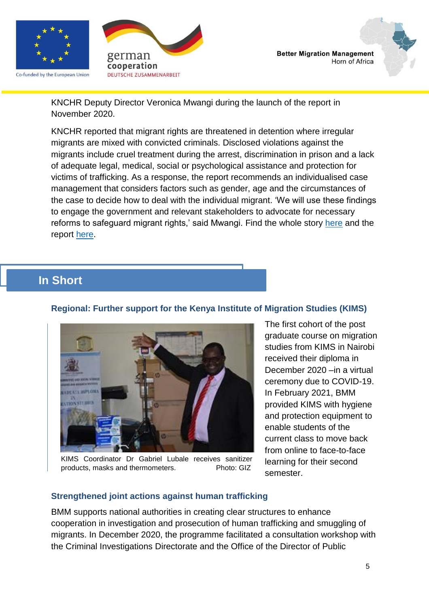![](_page_4_Picture_0.jpeg)

Co-funded by the European Union

![](_page_4_Picture_2.jpeg)

![](_page_4_Picture_3.jpeg)

KNCHR Deputy Director Veronica Mwangi during the launch of the report in November 2020.

KNCHR reported that migrant rights are threatened in detention where irregular migrants are mixed with convicted criminals. Disclosed violations against the migrants include cruel treatment during the arrest, discrimination in prison and a lack of adequate legal, medical, social or psychological assistance and protection for victims of trafficking. As a response, the report recommends an individualised case management that considers factors such as gender, age and the circumstances of the case to decide how to deal with the individual migrant. 'We will use these findings to engage the government and relevant stakeholders to advocate for necessary reforms to safeguard migrant rights,' said Mwangi. Find the whole story [here](https://ec.europa.eu/trustfundforafrica/all-news-and-stories/kenya-faces-lack-human-rights-protection-report-migrants-detention-launched_en) and the report [here.](https://www.knchr.org/Publications/Thematic-Reports/Group-Rights/Rights-of-Migrants)

# **In Short**

#### **Regional: Further support for the Kenya Institute of Migration Studies (KIMS)**

![](_page_4_Picture_8.jpeg)

KIMS Coordinator Dr Gabriel Lubale receives sanitizer products, masks and thermometers. Photo: GIZ

The first cohort of the post graduate course on migration studies from KIMS in Nairobi received their diploma in December 2020 –in a virtual ceremony due to COVID-19. In February 2021, BMM provided KIMS with hygiene and protection equipment to enable students of the current class to move back from online to face-to-face learning for their second semester.

#### **Strengthened joint actions against human trafficking**

BMM supports national authorities in creating clear structures to enhance cooperation in investigation and prosecution of human trafficking and smuggling of migrants. In December 2020, the programme facilitated a consultation workshop with the Criminal Investigations Directorate and the Office of the Director of Public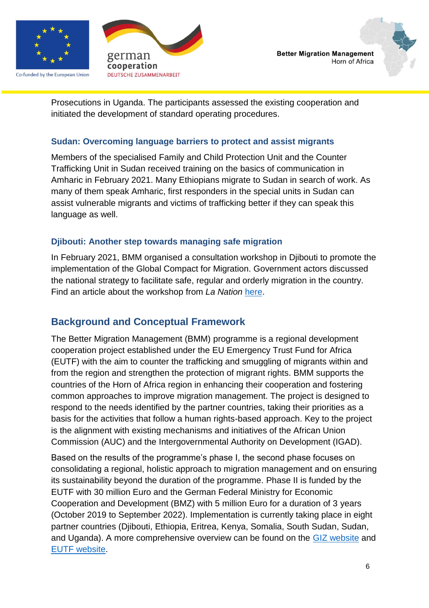![](_page_5_Picture_0.jpeg)

Co-funded by the European Union

![](_page_5_Picture_2.jpeg)

Prosecutions in Uganda. The participants assessed the existing cooperation and initiated the development of standard operating procedures.

#### **Sudan: Overcoming language barriers to protect and assist migrants**

Members of the specialised Family and Child Protection Unit and the Counter Trafficking Unit in Sudan received training on the basics of communication in Amharic in February 2021. Many Ethiopians migrate to Sudan in search of work. As many of them speak Amharic, first responders in the special units in Sudan can assist vulnerable migrants and victims of trafficking better if they can speak this language as well.

### **Djibouti: Another step towards managing safe migration**

In February 2021, BMM organised a consultation workshop in Djibouti to promote the implementation of the Global Compact for Migration. Government actors discussed the national strategy to facilitate safe, regular and orderly migration in the country. Find an article about the workshop from *La Nation* [here.](https://www.lanation.dj/pour-la-mise-en-oeuvre-du-pacte-mondial-sur-les-migrations/)

# **Background and Conceptual Framework**

The Better Migration Management (BMM) programme is a regional development cooperation project established under the EU Emergency Trust Fund for Africa (EUTF) with the aim to counter the trafficking and smuggling of migrants within and from the region and strengthen the protection of migrant rights. BMM supports the countries of the Horn of Africa region in enhancing their cooperation and fostering common approaches to improve migration management. The project is designed to respond to the needs identified by the partner countries, taking their priorities as a basis for the activities that follow a human rights-based approach. Key to the project is the alignment with existing mechanisms and initiatives of the African Union Commission (AUC) and the Intergovernmental Authority on Development (IGAD).

Based on the results of the programme's phase I, the second phase focuses on consolidating a regional, holistic approach to migration management and on ensuring its sustainability beyond the duration of the programme. Phase II is funded by the EUTF with 30 million Euro and the German Federal Ministry for Economic Cooperation and Development (BMZ) with 5 million Euro for a duration of 3 years (October 2019 to September 2022). Implementation is currently taking place in eight partner countries (Djibouti, Ethiopia, Eritrea, Kenya, Somalia, South Sudan, Sudan, and Uganda). A more comprehensive overview can be found on the [GIZ website](https://www.giz.de/en/worldwide/40602.html) and [EUTF website.](https://ec.europa.eu/trustfundforafrica/region/horn-africa/regional/better-migration-management-programme-phase-ii_en#:~:text=%20Main%20objectives%20%201%20Strengthening%20of%20national,victims%20of%20trafficking%20and%20vulnerable%20migrants...%20More%20)